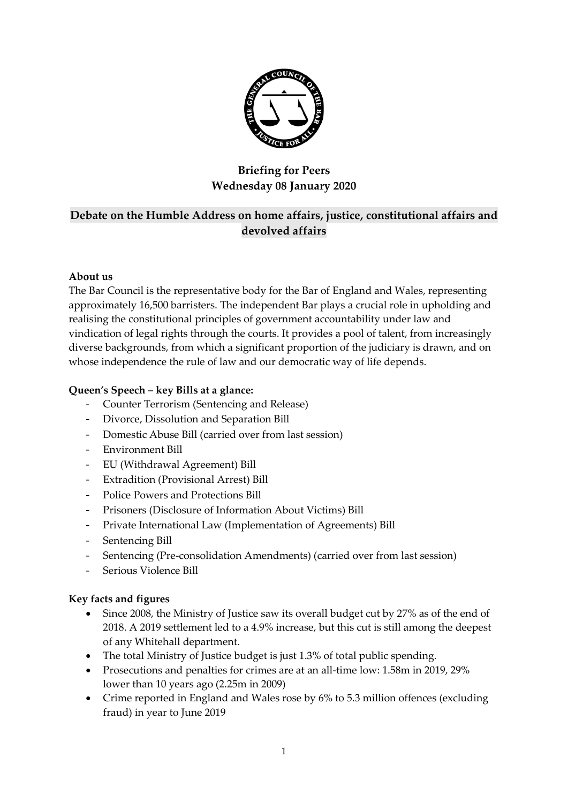

# **Briefing for Peers Wednesday 08 January 2020**

# **Debate on the Humble Address on home affairs, justice, constitutional affairs and devolved affairs**

## **About us**

The Bar Council is the representative body for the Bar of England and Wales, representing approximately 16,500 barristers. The independent Bar plays a crucial role in upholding and realising the constitutional principles of government accountability under law and vindication of legal rights through the courts. It provides a pool of talent, from increasingly diverse backgrounds, from which a significant proportion of the judiciary is drawn, and on whose independence the rule of law and our democratic way of life depends.

## **Queen's Speech – key Bills at a glance:**

- Counter Terrorism (Sentencing and Release)
- Divorce, Dissolution and Separation Bill
- Domestic Abuse Bill (carried over from last session)
- Environment Bill
- EU (Withdrawal Agreement) Bill
- Extradition (Provisional Arrest) Bill
- Police Powers and Protections Bill
- Prisoners (Disclosure of Information About Victims) Bill
- Private International Law (Implementation of Agreements) Bill
- Sentencing Bill
- Sentencing (Pre-consolidation Amendments) (carried over from last session)
- Serious Violence Bill

## **Key facts and figures**

- Since 2008, the Ministry of Justice saw its overall budget cut by 27% as of the end of 2018. A 2019 settlement led to a 4.9% increase, but this cut is still among the deepest of any Whitehall department.
- The total Ministry of Justice budget is just 1.3% of total public spending.
- Prosecutions and penalties for crimes are at an all-time low: 1.58m in 2019, 29% lower than 10 years ago (2.25m in 2009)
- Crime reported in England and Wales rose by 6% to 5.3 million offences (excluding fraud) in year to June 2019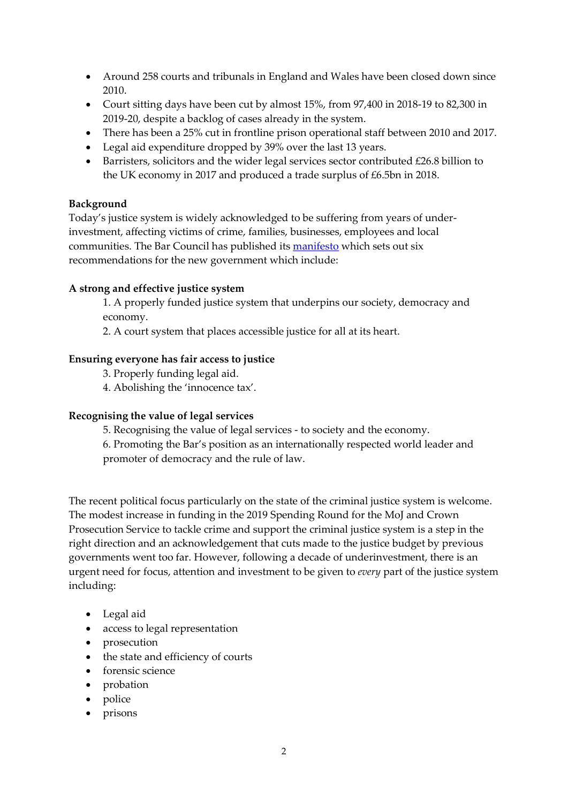- Around 258 courts and tribunals in England and Wales have been closed down since 2010.
- Court sitting days have been cut by almost 15%, from 97,400 in 2018-19 to 82,300 in 2019-20, despite a backlog of cases already in the system.
- There has been a 25% cut in frontline prison operational staff between 2010 and 2017.
- Legal aid expenditure dropped by 39% over the last 13 years.
- Barristers, solicitors and the wider legal services sector contributed £26.8 billion to the UK economy in 2017 and produced a trade surplus of £6.5bn in 2018.

### **Background**

Today's justice system is widely acknowledged to be suffering from years of underinvestment, affecting victims of crime, families, businesses, employees and local communities. The Bar Council has published its [manifesto](https://www.barcouncil.org.uk/uploads/assets/c0b58ad3-c792-4b14-86902111af03eeb0/Bar-Council-Manifesto-2019.pdf) which sets out six recommendations for the new government which include:

## **A strong and effective justice system**

1. A properly funded justice system that underpins our society, democracy and economy.

2. A court system that places accessible justice for all at its heart.

#### **Ensuring everyone has fair access to justice**

- 3. Properly funding legal aid.
- 4. Abolishing the 'innocence tax'.

#### **Recognising the value of legal services**

5. Recognising the value of legal services - to society and the economy.

6. Promoting the Bar's position as an internationally respected world leader and promoter of democracy and the rule of law.

The recent political focus particularly on the state of the criminal justice system is welcome. The modest increase in funding in the 2019 Spending Round for the MoJ and Crown Prosecution Service to tackle crime and support the criminal justice system is a step in the right direction and an acknowledgement that cuts made to the justice budget by previous governments went too far. However, following a decade of underinvestment, there is an urgent need for focus, attention and investment to be given to *every* part of the justice system including:

- Legal aid
- access to legal representation
- prosecution
- the state and efficiency of courts
- forensic science
- probation
- police
- prisons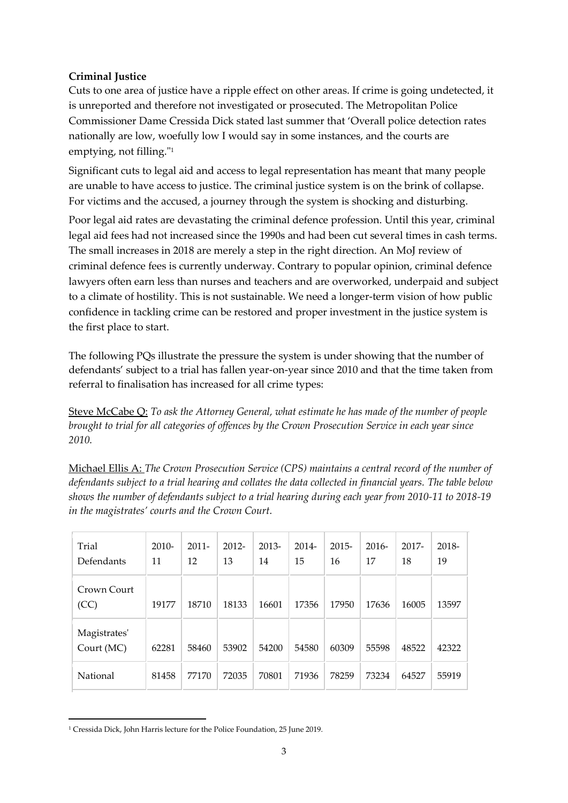## **Criminal Justice**

Cuts to one area of justice have a ripple effect on other areas. If crime is going undetected, it is unreported and therefore not investigated or prosecuted. The Metropolitan Police Commissioner Dame Cressida Dick stated last summer that 'Overall police detection rates nationally are low, woefully low I would say in some instances, and the courts are emptying, not filling."<sup>1</sup>

Significant cuts to legal aid and access to legal representation has meant that many people are unable to have access to justice. The criminal justice system is on the brink of collapse. For victims and the accused, a journey through the system is shocking and disturbing.

Poor legal aid rates are devastating the criminal defence profession. Until this year, criminal legal aid fees had not increased since the 1990s and had been cut several times in cash terms. The small increases in 2018 are merely a step in the right direction. An MoJ review of criminal defence fees is currently underway. Contrary to popular opinion, criminal defence lawyers often earn less than nurses and teachers and are overworked, underpaid and subject to a climate of hostility. This is not sustainable. We need a longer-term vision of how public confidence in tackling crime can be restored and proper investment in the justice system is the first place to start.

The following PQs illustrate the pressure the system is under showing that the number of defendants' subject to a trial has fallen year-on-year since 2010 and that the time taken from referral to finalisation has increased for all crime types:

Steve McCabe Q: *To ask the Attorney General, what estimate he has made of the number of people brought to trial for all categories of offences by the Crown Prosecution Service in each year since 2010.*

Michael Ellis A: *The Crown Prosecution Service (CPS) maintains a central record of the number of defendants subject to a trial hearing and collates the data collected in financial years. The table below shows the number of defendants subject to a trial hearing during each year from 2010-11 to 2018-19 in the magistrates' courts and the Crown Court.*

| Trial<br>Defendants          | $2010-$<br>11 | $2011 -$<br>12 | $2012 -$<br>13 | $2013-$<br>14 | $2014-$<br>15 | $2015 -$<br>16 | $2016-$<br>17 | 2017-<br>18 | 2018-<br>19 |
|------------------------------|---------------|----------------|----------------|---------------|---------------|----------------|---------------|-------------|-------------|
| Crown Court<br>(CC)          | 19177         | 18710          | 18133          | 16601         | 17356         | 17950          | 17636         | 16005       | 13597       |
| Magistrates'<br>Court $(MC)$ | 62281         | 58460          | 53902          | 54200         | 54580         | 60309          | 55598         | 48522       | 42322       |
| National                     | 81458         | 77170          | 72035          | 70801         | 71936         | 78259          | 73234         | 64527       | 55919       |

<sup>1</sup> Cressida Dick, John Harris lecture for the Police Foundation, 25 June 2019.

**.**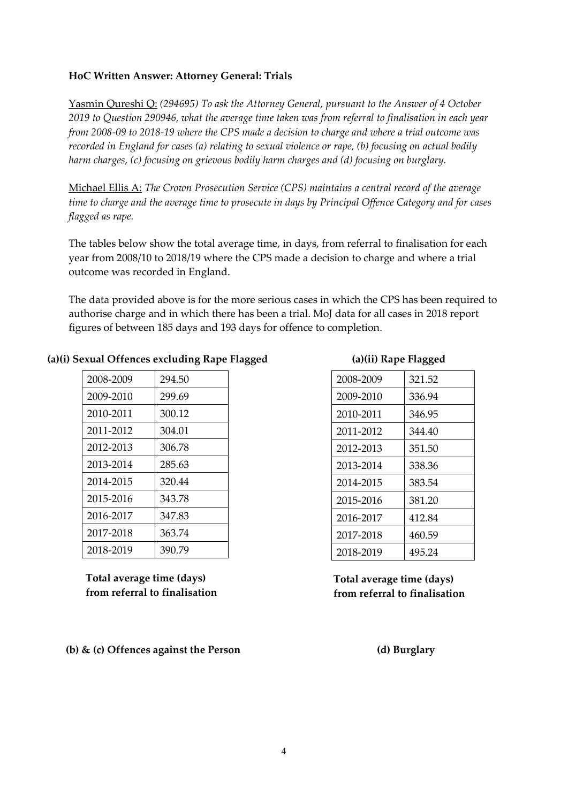## **HoC Written Answer: Attorney General: Trials**

Yasmin Qureshi Q: *(294695) To ask the Attorney General, pursuant to the Answer of 4 October 2019 to Question 290946, what the average time taken was from referral to finalisation in each year from 2008-09 to 2018-19 where the CPS made a decision to charge and where a trial outcome was recorded in England for cases (a) relating to sexual violence or rape, (b) focusing on actual bodily harm charges, (c) focusing on grievous bodily harm charges and (d) focusing on burglary.*

Michael Ellis A: *The Crown Prosecution Service (CPS) maintains a central record of the average time to charge and the average time to prosecute in days by Principal Offence Category and for cases flagged as rape.*

The tables below show the total average time, in days, from referral to finalisation for each year from 2008/10 to 2018/19 where the CPS made a decision to charge and where a trial outcome was recorded in England.

The data provided above is for the more serious cases in which the CPS has been required to authorise charge and in which there has been a trial. MoJ data for all cases in 2018 report figures of between 185 days and 193 days for offence to completion.

| 2008-2009 | 294.50 |
|-----------|--------|
| 2009-2010 | 299.69 |
| 2010-2011 | 300.12 |
| 2011-2012 | 304.01 |
| 2012-2013 | 306.78 |
| 2013-2014 | 285.63 |
| 2014-2015 | 320.44 |
| 2015-2016 | 343.78 |
| 2016-2017 | 347.83 |
| 2017-2018 | 363.74 |
| 2018-2019 | 390.79 |

## **(a)(i) Sexual Offences excluding Rape Flagged (a)(ii) Rape Flagged**

**Total average time (days) from referral to finalisation**

#### **(b) & (c) Offences against the Person (d) Burglary**

| 2008-2009 | 321.52 |
|-----------|--------|
| 2009-2010 | 336.94 |
| 2010-2011 | 346.95 |
| 2011-2012 | 344.40 |
| 2012-2013 | 351.50 |
| 2013-2014 | 338.36 |
| 2014-2015 | 383.54 |
| 2015-2016 | 381.20 |
| 2016-2017 | 412.84 |
| 2017-2018 | 460.59 |
| 2018-2019 | 495.24 |

## **Total average time (days) from referral to finalisation**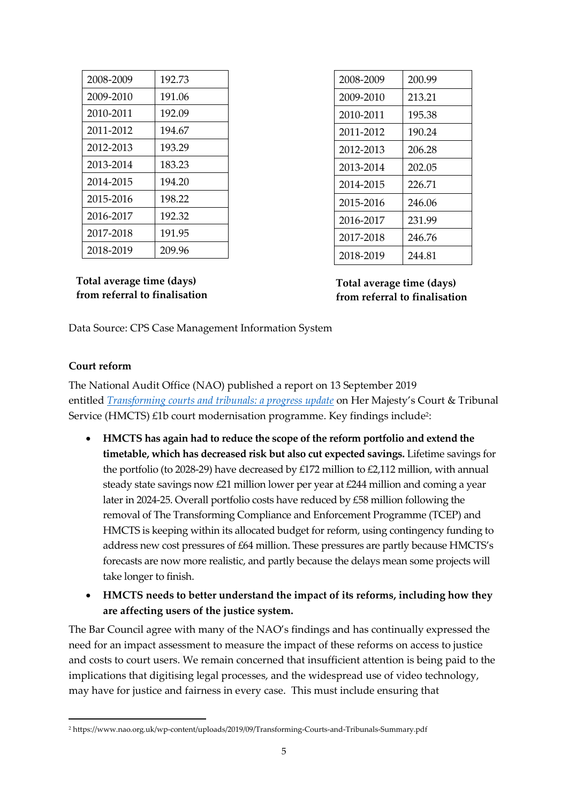| 2008-2009 | 192.73 |
|-----------|--------|
| 2009-2010 | 191.06 |
| 2010-2011 | 192.09 |
| 2011-2012 | 194.67 |
| 2012-2013 | 193.29 |
| 2013-2014 | 183.23 |
| 2014-2015 | 194.20 |
| 2015-2016 | 198.22 |
| 2016-2017 | 192.32 |
| 2017-2018 | 191.95 |
| 2018-2019 | 209.96 |

**Total average time (days) from referral to finalisation**

| 2008-2009 | 200.99 |
|-----------|--------|
| 2009-2010 | 213.21 |
| 2010-2011 | 195.38 |
| 2011-2012 | 190.24 |
| 2012-2013 | 206.28 |
| 2013-2014 | 202.05 |
| 2014-2015 | 226.71 |
| 2015-2016 | 246.06 |
| 2016-2017 | 231.99 |
| 2017-2018 | 246.76 |
| 2018-2019 | 244.81 |

**Total average time (days) from referral to finalisation**

Data Source: CPS Case Management Information System

#### **Court reform**

**.** 

The National Audit Office (NAO) published a report on 13 September 2019 entitled *[Transforming courts and tribunals: a progress update](https://www.nao.org.uk/report/transforming-courts-and-tribunals-a-progress-update/)* on Her Majesty's Court & Tribunal Service (HMCTS) £1b court modernisation programme. Key findings include<sup>2</sup> :

- **HMCTS has again had to reduce the scope of the reform portfolio and extend the timetable, which has decreased risk but also cut expected savings.** Lifetime savings for the portfolio (to 2028-29) have decreased by £172 million to £2,112 million, with annual steady state savings now £21 million lower per year at £244 million and coming a year later in 2024-25. Overall portfolio costs have reduced by £58 million following the removal of The Transforming Compliance and Enforcement Programme (TCEP) and HMCTS is keeping within its allocated budget for reform, using contingency funding to address new cost pressures of £64 million. These pressures are partly because HMCTS's forecasts are now more realistic, and partly because the delays mean some projects will take longer to finish.
- **HMCTS needs to better understand the impact of its reforms, including how they are affecting users of the justice system.**

The Bar Council agree with many of the NAO's findings and has continually expressed the need for an impact assessment to measure the impact of these reforms on access to justice and costs to court users. We remain concerned that insufficient attention is being paid to the implications that digitising legal processes, and the widespread use of video technology, may have for justice and fairness in every case. This must include ensuring that

<sup>2</sup> https://www.nao.org.uk/wp-content/uploads/2019/09/Transforming-Courts-and-Tribunals-Summary.pdf